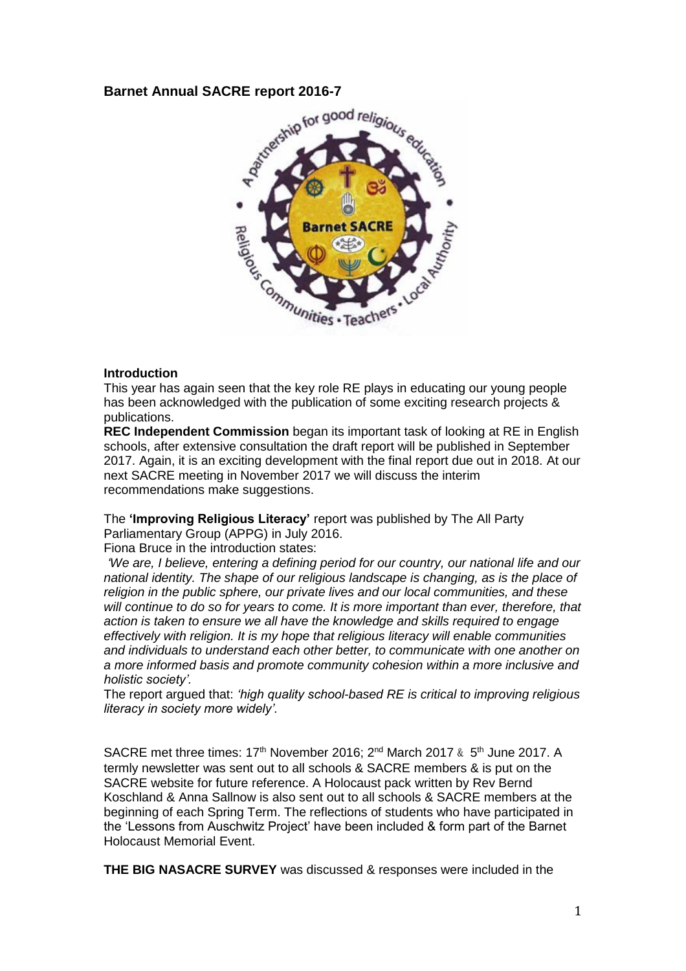## **Barnet Annual SACRE report 2016-7**



### **Introduction**

This year has again seen that the key role RE plays in educating our young people has been acknowledged with the publication of some exciting research projects & publications.

**REC Independent Commission** began its important task of looking at RE in English schools, after extensive consultation the draft report will be published in September 2017. Again, it is an exciting development with the final report due out in 2018. At our next SACRE meeting in November 2017 we will discuss the interim recommendations make suggestions.

The **'Improving Religious Literacy'** report was published by The All Party Parliamentary Group (APPG) in July 2016.

Fiona Bruce in the introduction states:

*'We are, I believe, entering a defining period for our country, our national life and our national identity. The shape of our religious landscape is changing, as is the place of religion in the public sphere, our private lives and our local communities, and these will continue to do so for years to come. It is more important than ever, therefore, that action is taken to ensure we all have the knowledge and skills required to engage effectively with religion. It is my hope that religious literacy will enable communities and individuals to understand each other better, to communicate with one another on a more informed basis and promote community cohesion within a more inclusive and holistic society'.* 

The report argued that: *'high quality school-based RE is critical to improving religious literacy in society more widely'.*

SACRE met three times: 17<sup>th</sup> November 2016; 2<sup>nd</sup> March 2017 & 5<sup>th</sup> June 2017. A termly newsletter was sent out to all schools & SACRE members & is put on the SACRE website for future reference. A Holocaust pack written by Rev Bernd Koschland & Anna Sallnow is also sent out to all schools & SACRE members at the beginning of each Spring Term. The reflections of students who have participated in the 'Lessons from Auschwitz Project' have been included & form part of the Barnet Holocaust Memorial Event.

**THE BIG NASACRE SURVEY** was discussed & responses were included in the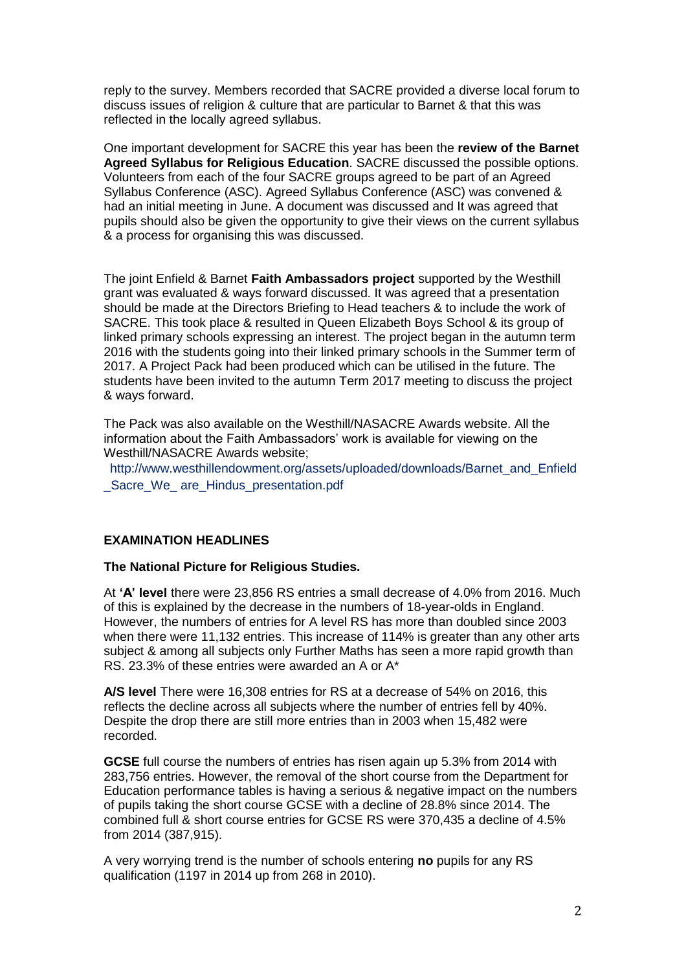reply to the survey. Members recorded that SACRE provided a diverse local forum to discuss issues of religion & culture that are particular to Barnet & that this was reflected in the locally agreed syllabus.

One important development for SACRE this year has been the **review of the Barnet Agreed Syllabus for Religious Education**. SACRE discussed the possible options. Volunteers from each of the four SACRE groups agreed to be part of an Agreed Syllabus Conference (ASC). Agreed Syllabus Conference (ASC) was convened & had an initial meeting in June. A document was discussed and It was agreed that pupils should also be given the opportunity to give their views on the current syllabus & a process for organising this was discussed.

The joint Enfield & Barnet **Faith Ambassadors project** supported by the Westhill grant was evaluated & ways forward discussed. It was agreed that a presentation should be made at the Directors Briefing to Head teachers & to include the work of SACRE. This took place & resulted in Queen Elizabeth Boys School & its group of linked primary schools expressing an interest. The project began in the autumn term 2016 with the students going into their linked primary schools in the Summer term of 2017. A Project Pack had been produced which can be utilised in the future. The students have been invited to the autumn Term 2017 meeting to discuss the project & ways forward.

The Pack was also available on the Westhill/NASACRE Awards website. All the information about the Faith Ambassadors' work is available for viewing on the Westhill/NASACRE Awards website;

http://www.westhillendowment.org/assets/uploaded/downloads/Barnet\_and\_Enfield \_Sacre\_We\_ are\_Hindus\_presentation.pdf

### **EXAMINATION HEADLINES**

#### **The National Picture for Religious Studies.**

At **'A' level** there were 23,856 RS entries a small decrease of 4.0% from 2016. Much of this is explained by the decrease in the numbers of 18-year-olds in England. However, the numbers of entries for A level RS has more than doubled since 2003 when there were 11,132 entries. This increase of 114% is greater than any other arts subiect & among all subjects only Further Maths has seen a more rapid growth than RS. 23.3% of these entries were awarded an A or A\*

**A/S level** There were 16,308 entries for RS at a decrease of 54% on 2016, this reflects the decline across all subjects where the number of entries fell by 40%. Despite the drop there are still more entries than in 2003 when 15,482 were recorded.

**GCSE** full course the numbers of entries has risen again up 5.3% from 2014 with 283,756 entries. However, the removal of the short course from the Department for Education performance tables is having a serious & negative impact on the numbers of pupils taking the short course GCSE with a decline of 28.8% since 2014. The combined full & short course entries for GCSE RS were 370,435 a decline of 4.5% from 2014 (387,915).

A very worrying trend is the number of schools entering **no** pupils for any RS qualification (1197 in 2014 up from 268 in 2010).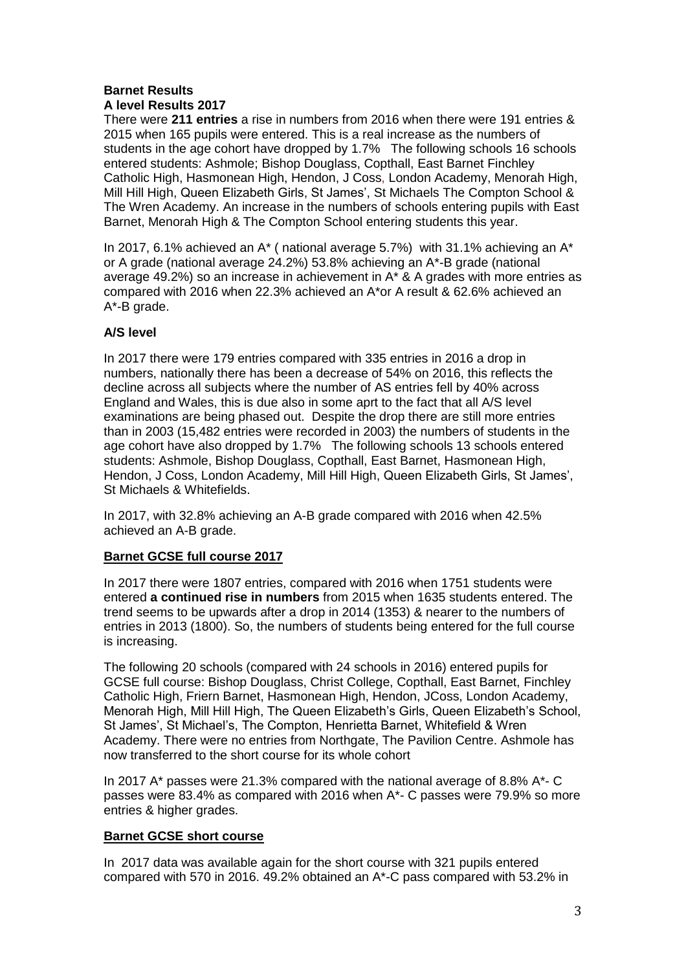# **Barnet Results A level Results 2017**

There were **211 entries** a rise in numbers from 2016 when there were 191 entries & 2015 when 165 pupils were entered. This is a real increase as the numbers of students in the age cohort have dropped by 1.7% The following schools 16 schools entered students: Ashmole; Bishop Douglass, Copthall, East Barnet Finchley Catholic High, Hasmonean High, Hendon, J Coss, London Academy, Menorah High, Mill Hill High, Queen Elizabeth Girls, St James', St Michaels The Compton School & The Wren Academy. An increase in the numbers of schools entering pupils with East Barnet, Menorah High & The Compton School entering students this year.

In 2017, 6.1% achieved an  $A^*$  ( national average 5.7%) with 31.1% achieving an  $A^*$ or A grade (national average 24.2%) 53.8% achieving an A\*-B grade (national average 49.2%) so an increase in achievement in A\* & A grades with more entries as compared with 2016 when 22.3% achieved an A\*or A result & 62.6% achieved an A\*-B grade.

## **A/S level**

In 2017 there were 179 entries compared with 335 entries in 2016 a drop in numbers, nationally there has been a decrease of 54% on 2016, this reflects the decline across all subjects where the number of AS entries fell by 40% across England and Wales, this is due also in some aprt to the fact that all A/S level examinations are being phased out. Despite the drop there are still more entries than in 2003 (15,482 entries were recorded in 2003) the numbers of students in the age cohort have also dropped by 1.7% The following schools 13 schools entered students: Ashmole, Bishop Douglass, Copthall, East Barnet, Hasmonean High, Hendon, J Coss, London Academy, Mill Hill High, Queen Elizabeth Girls, St James', St Michaels & Whitefields.

In 2017, with 32.8% achieving an A-B grade compared with 2016 when 42.5% achieved an A-B grade.

## **Barnet GCSE full course 2017**

In 2017 there were 1807 entries, compared with 2016 when 1751 students were entered **a continued rise in numbers** from 2015 when 1635 students entered. The trend seems to be upwards after a drop in 2014 (1353) & nearer to the numbers of entries in 2013 (1800). So, the numbers of students being entered for the full course is increasing.

The following 20 schools (compared with 24 schools in 2016) entered pupils for GCSE full course: Bishop Douglass, Christ College, Copthall, East Barnet, Finchley Catholic High, Friern Barnet, Hasmonean High, Hendon, JCoss, London Academy, Menorah High, Mill Hill High, The Queen Elizabeth's Girls, Queen Elizabeth's School, St James', St Michael's, The Compton, Henrietta Barnet, Whitefield & Wren Academy. There were no entries from Northgate, The Pavilion Centre. Ashmole has now transferred to the short course for its whole cohort

In 2017 A\* passes were 21.3% compared with the national average of 8.8% A\*- C passes were 83.4% as compared with 2016 when A\*- C passes were 79.9% so more entries & higher grades.

## **Barnet GCSE short course**

In 2017 data was available again for the short course with 321 pupils entered compared with 570 in 2016. 49.2% obtained an A\*-C pass compared with 53.2% in